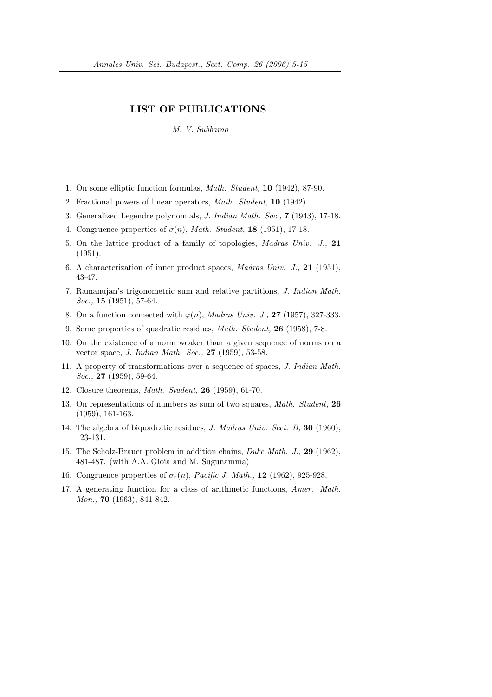## LIST OF PUBLICATIONS

M. V. Subbarao

- 1. On some elliptic function formulas, Math. Student, 10 (1942), 87-90.
- 2. Fractional powers of linear operators, Math. Student, 10 (1942)
- 3. Generalized Legendre polynomials, J. Indian Math. Soc., 7 (1943), 17-18.
- 4. Congruence properties of  $\sigma(n)$ , Math. Student, 18 (1951), 17-18.
- 5. On the lattice product of a family of topologies, Madras Univ. J., 21 (1951).
- 6. A characterization of inner product spaces, Madras Univ. J., 21 (1951), 43-47.
- 7. Ramanujan's trigonometric sum and relative partitions, J. Indian Math. Soc., **15** (1951), 57-64.
- 8. On a function connected with  $\varphi(n)$ , *Madras Univ. J.*, **27** (1957), 327-333.
- 9. Some properties of quadratic residues, Math. Student, 26 (1958), 7-8.
- 10. On the existence of a norm weaker than a given sequence of norms on a vector space, J. Indian Math. Soc., 27 (1959), 53-58.
- 11. A property of transformations over a sequence of spaces, J. Indian Math. Soc., **27** (1959), 59-64.
- 12. Closure theorems, Math. Student, 26 (1959), 61-70.
- 13. On representations of numbers as sum of two squares, Math. Student, 26 (1959), 161-163.
- 14. The algebra of biquadratic residues, J. Madras Univ. Sect. B, 30 (1960), 123-131.
- 15. The Scholz-Brauer problem in addition chains, Duke Math. J., 29 (1962), 481-487. (with A.A. Gioia and M. Sugunamma)
- 16. Congruence properties of  $\sigma_r(n)$ , Pacific J. Math., 12 (1962), 925-928.
- 17. A generating function for a class of arithmetic functions, Amer. Math. Mon., **70** (1963), 841-842.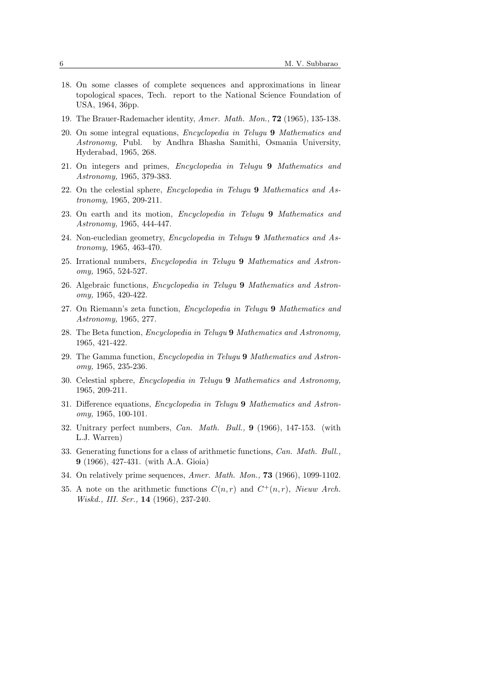- 18. On some classes of complete sequences and approximations in linear topological spaces, Tech. report to the National Science Foundation of USA, 1964, 36pp.
- 19. The Brauer-Rademacher identity, Amer. Math. Mon., 72 (1965), 135-138.
- 20. On some integral equations, Encyclopedia in Telugu 9 Mathematics and Astronomy, Publ. by Andhra Bhasha Samithi, Osmania University, Hyderabad, 1965, 268.
- 21. On integers and primes, Encyclopedia in Telugu 9 Mathematics and Astronomy, 1965, 379-383.
- 22. On the celestial sphere, Encyclopedia in Telugu 9 Mathematics and Astronomy, 1965, 209-211.
- 23. On earth and its motion, Encyclopedia in Telugu 9 Mathematics and Astronomy, 1965, 444-447.
- 24. Non-eucledian geometry, Encyclopedia in Telugu 9 Mathematics and Astronomy, 1965, 463-470.
- 25. Irrational numbers, Encyclopedia in Telugu 9 Mathematics and Astronomy, 1965, 524-527.
- 26. Algebraic functions, Encyclopedia in Telugu 9 Mathematics and Astronomy, 1965, 420-422.
- 27. On Riemann's zeta function, Encyclopedia in Telugu 9 Mathematics and Astronomy, 1965, 277.
- 28. The Beta function, Encyclopedia in Telugu 9 Mathematics and Astronomy, 1965, 421-422.
- 29. The Gamma function, Encyclopedia in Telugu 9 Mathematics and Astronomy, 1965, 235-236.
- 30. Celestial sphere, Encyclopedia in Telugu 9 Mathematics and Astronomy, 1965, 209-211.
- 31. Difference equations, Encyclopedia in Telugu 9 Mathematics and Astronomy, 1965, 100-101.
- 32. Unitrary perfect numbers, Can. Math. Bull., 9 (1966), 147-153. (with L.J. Warren)
- 33. Generating functions for a class of arithmetic functions, Can. Math. Bull., 9 (1966), 427-431. (with A.A. Gioia)
- 34. On relatively prime sequences, Amer. Math. Mon., 73 (1966), 1099-1102.
- 35. A note on the arithmetic functions  $C(n,r)$  and  $C^+(n,r)$ , Nieuw Arch. Wiskd., III. Ser., **14** (1966), 237-240.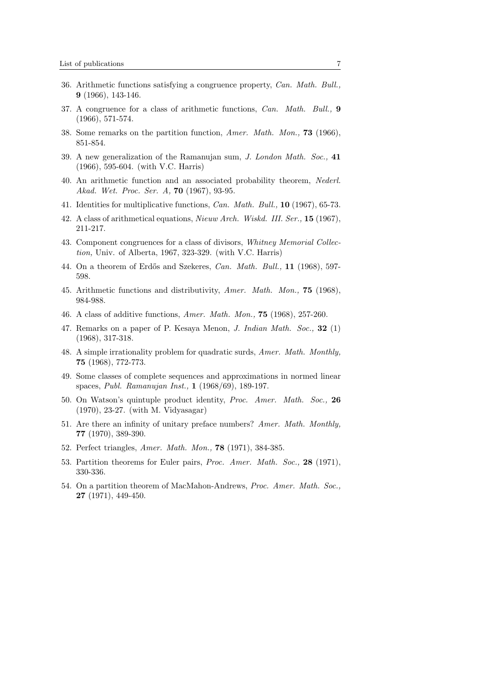- 36. Arithmetic functions satisfying a congruence property, Can. Math. Bull., 9 (1966), 143-146.
- 37. A congruence for a class of arithmetic functions, Can. Math. Bull., 9 (1966), 571-574.
- 38. Some remarks on the partition function, Amer. Math. Mon., 73 (1966), 851-854.
- 39. A new generalization of the Ramanujan sum, J. London Math. Soc., 41 (1966), 595-604. (with V.C. Harris)
- 40. An arithmetic function and an associated probability theorem, Nederl. Akad. Wet. Proc. Ser. A, 70 (1967), 93-95.
- 41. Identities for multiplicative functions, Can. Math. Bull., 10 (1967), 65-73.
- 42. A class of arithmetical equations, Nieuw Arch. Wiskd. III. Ser., 15 (1967), 211-217.
- 43. Component congruences for a class of divisors, Whitney Memorial Collection, Univ. of Alberta, 1967, 323-329. (with V.C. Harris)
- 44. On a theorem of Erdős and Szekeres, Can. Math. Bull., 11 (1968), 597-598.
- 45. Arithmetic functions and distributivity, Amer. Math. Mon., 75 (1968), 984-988.
- 46. A class of additive functions, Amer. Math. Mon., 75 (1968), 257-260.
- 47. Remarks on a paper of P. Kesaya Menon, J. Indian Math. Soc., 32 (1) (1968), 317-318.
- 48. A simple irrationality problem for quadratic surds, Amer. Math. Monthly, 75 (1968), 772-773.
- 49. Some classes of complete sequences and approximations in normed linear spaces, Publ. Ramanujan Inst., 1 (1968/69), 189-197.
- 50. On Watson's quintuple product identity, Proc. Amer. Math. Soc., 26 (1970), 23-27. (with M. Vidyasagar)
- 51. Are there an infinity of unitary preface numbers? Amer. Math. Monthly, 77 (1970), 389-390.
- 52. Perfect triangles, Amer. Math. Mon., 78 (1971), 384-385.
- 53. Partition theorems for Euler pairs, Proc. Amer. Math. Soc., 28 (1971), 330-336.
- 54. On a partition theorem of MacMahon-Andrews, Proc. Amer. Math. Soc., 27 (1971), 449-450.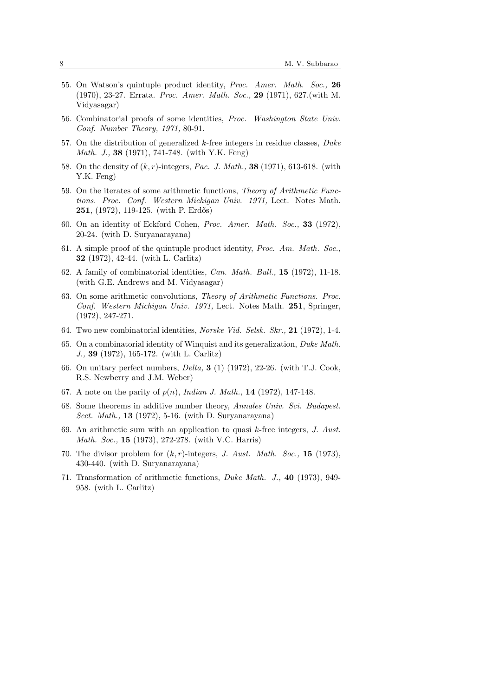- 55. On Watson's quintuple product identity, Proc. Amer. Math. Soc., 26 (1970), 23-27. Errata. Proc. Amer. Math. Soc., 29 (1971), 627.(with M. Vidyasagar)
- 56. Combinatorial proofs of some identities, Proc. Washington State Univ. Conf. Number Theory, 1971, 80-91.
- 57. On the distribution of generalized  $k$ -free integers in residue classes,  $Duke$ Math. J., 38 (1971), 741-748. (with Y.K. Feng)
- 58. On the density of  $(k, r)$ -integers, Pac. J. Math., **38** (1971), 613-618. (with Y.K. Feng)
- 59. On the iterates of some arithmetic functions, Theory of Arithmetic Functions. Proc. Conf. Western Michigan Univ. 1971, Lect. Notes Math. **251**, (1972), 119-125. (with P. Erdős)
- 60. On an identity of Eckford Cohen, Proc. Amer. Math. Soc., 33 (1972), 20-24. (with D. Suryanarayana)
- 61. A simple proof of the quintuple product identity, Proc. Am. Math. Soc., 32 (1972), 42-44. (with L. Carlitz)
- 62. A family of combinatorial identities, Can. Math. Bull., 15 (1972), 11-18. (with G.E. Andrews and M. Vidyasagar)
- 63. On some arithmetic convolutions, Theory of Arithmetic Functions. Proc. Conf. Western Michigan Univ. 1971, Lect. Notes Math. 251, Springer, (1972), 247-271.
- 64. Two new combinatorial identities, *Norske Vid. Selsk. Skr.*, **21** (1972), 1-4.
- 65. On a combinatorial identity of Winquist and its generalization, Duke Math. J., 39 (1972), 165-172. (with L. Carlitz)
- 66. On unitary perfect numbers, Delta, 3 (1) (1972), 22-26. (with T.J. Cook, R.S. Newberry and J.M. Weber)
- 67. A note on the parity of  $p(n)$ , *Indian J. Math.*, **14** (1972), 147-148.
- 68. Some theorems in additive number theory, Annales Univ. Sci. Budapest. Sect. Math., 13 (1972), 5-16. (with D. Suryanarayana)
- 69. An arithmetic sum with an application to quasi  $k$ -free integers, J. Aust. *Math. Soc.*, **15** (1973), 272-278. (with V.C. Harris)
- 70. The divisor problem for  $(k, r)$ -integers, J. Aust. Math. Soc., 15 (1973), 430-440. (with D. Suryanarayana)
- 71. Transformation of arithmetic functions, Duke Math. J., 40 (1973), 949- 958. (with L. Carlitz)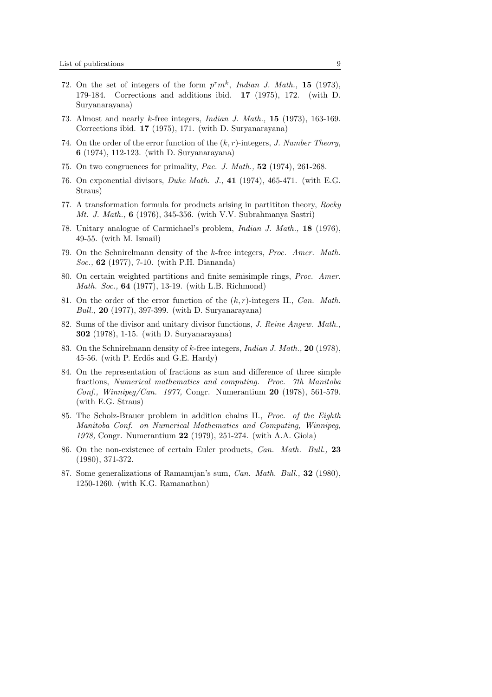- 72. On the set of integers of the form  $p^r m^k$ , Indian J. Math., 15 (1973), 179-184. Corrections and additions ibid. 17 (1975), 172. (with D. Suryanarayana)
- 73. Almost and nearly k-free integers, Indian J. Math., 15 (1973), 163-169. Corrections ibid. 17 (1975), 171. (with D. Suryanarayana)
- 74. On the order of the error function of the  $(k, r)$ -integers, J. Number Theory, 6 (1974), 112-123. (with D. Suryanarayana)
- 75. On two congruences for primality, Pac. J. Math., 52 (1974), 261-268.
- 76. On exponential divisors, Duke Math. J., 41 (1974), 465-471. (with E.G. Straus)
- 77. A transformation formula for products arising in partititon theory, Rocky Mt. J. Math., 6 (1976), 345-356. (with V.V. Subrahmanya Sastri)
- 78. Unitary analogue of Carmichael's problem, Indian J. Math., 18 (1976), 49-55. (with M. Ismail)
- 79. On the Schnirelmann density of the k-free integers, Proc. Amer. Math. Soc., 62 (1977), 7-10. (with P.H. Diananda)
- 80. On certain weighted partitions and finite semisimple rings, Proc. Amer. Math. Soc., 64 (1977), 13-19. (with L.B. Richmond)
- 81. On the order of the error function of the  $(k, r)$ -integers II., *Can. Math.* Bull., 20 (1977), 397-399. (with D. Suryanarayana)
- 82. Sums of the divisor and unitary divisor functions, J. Reine Angew. Math., 302 (1978), 1-15. (with D. Suryanarayana)
- 83. On the Schnirelmann density of  $k$ -free integers, *Indian J. Math.*, **20** (1978), 45-56. (with P. Erd˝os and G.E. Hardy)
- 84. On the representation of fractions as sum and difference of three simple fractions, Numerical mathematics and computing. Proc. 7th Manitoba Conf., Winnipeg/Can. 1977, Congr. Numerantium 20 (1978), 561-579. (with E.G. Straus)
- 85. The Scholz-Brauer problem in addition chains II., Proc. of the Eighth Manitoba Conf. on Numerical Mathematics and Computing, Winnipeg, 1978, Congr. Numerantium 22 (1979), 251-274. (with A.A. Gioia)
- 86. On the non-existence of certain Euler products, Can. Math. Bull., 23 (1980), 371-372.
- 87. Some generalizations of Ramanujan's sum, Can. Math. Bull., 32 (1980), 1250-1260. (with K.G. Ramanathan)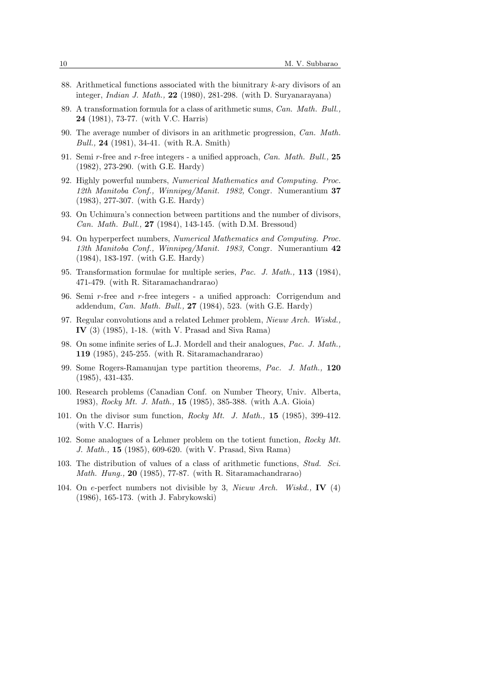- 88. Arithmetical functions associated with the biunitrary  $k$ -ary divisors of an integer, Indian J. Math., 22 (1980), 281-298. (with D. Suryanarayana)
- 89. A transformation formula for a class of arithmetic sums, Can. Math. Bull., 24 (1981), 73-77. (with V.C. Harris)
- 90. The average number of divisors in an arithmetic progression, Can. Math. Bull., 24 (1981), 34-41. (with R.A. Smith)
- 91. Semi r-free and r-free integers a unified approach,  $Can. Math. Bull.$  25 (1982), 273-290. (with G.E. Hardy)
- 92. Highly powerful numbers, Numerical Mathematics and Computing. Proc. 12th Manitoba Conf., Winnipeg/Manit. 1982, Congr. Numerantium 37 (1983), 277-307. (with G.E. Hardy)
- 93. On Uchimura's connection between partitions and the number of divisors, Can. Math. Bull., 27 (1984), 143-145. (with D.M. Bressoud)
- 94. On hyperperfect numbers, Numerical Mathematics and Computing. Proc. 13th Manitoba Conf., Winnipeg/Manit. 1983, Congr. Numerantium 42 (1984), 183-197. (with G.E. Hardy)
- 95. Transformation formulae for multiple series, Pac. J. Math., 113 (1984), 471-479. (with R. Sitaramachandrarao)
- 96. Semi r-free and r-free integers a unified approach: Corrigendum and addendum, Can. Math. Bull.,  $27$  (1984), 523. (with G.E. Hardy)
- 97. Regular convolutions and a related Lehmer problem, Nieuw Arch. Wiskd., IV (3) (1985), 1-18. (with V. Prasad and Siva Rama)
- 98. On some infinite series of L.J. Mordell and their analogues, Pac. J. Math., 119 (1985), 245-255. (with R. Sitaramachandrarao)
- 99. Some Rogers-Ramanujan type partition theorems, Pac. J. Math., 120 (1985), 431-435.
- 100. Research problems (Canadian Conf. on Number Theory, Univ. Alberta, 1983), Rocky Mt. J. Math., 15 (1985), 385-388. (with A.A. Gioia)
- 101. On the divisor sum function, Rocky Mt. J. Math., 15 (1985), 399-412. (with V.C. Harris)
- 102. Some analogues of a Lehmer problem on the totient function, Rocky Mt. J. Math., 15 (1985), 609-620. (with V. Prasad, Siva Rama)
- 103. The distribution of values of a class of arithmetic functions, Stud. Sci. *Math. Hung.*, **20** (1985), 77-87. (with R. Sitaramachandrarao)
- 104. On e-perfect numbers not divisible by 3, Nieuw Arch. Wiskd., IV (4) (1986), 165-173. (with J. Fabrykowski)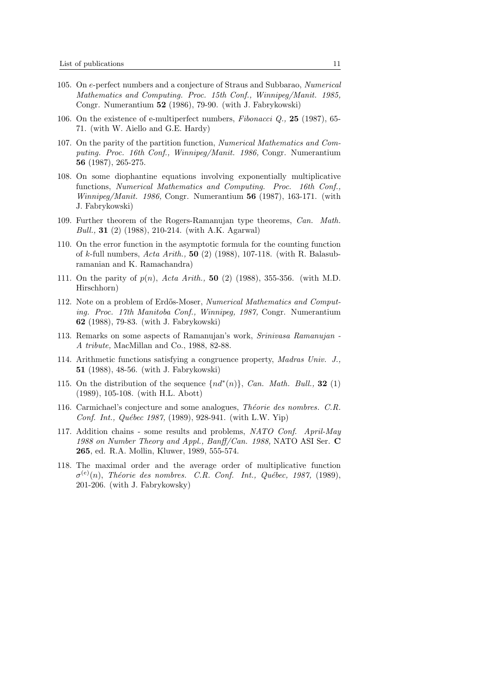- 105. On e-perfect numbers and a conjecture of Straus and Subbarao, Numerical Mathematics and Computing. Proc. 15th Conf., Winnipeg/Manit. 1985, Congr. Numerantium 52 (1986), 79-90. (with J. Fabrykowski)
- 106. On the existence of e-multiperfect numbers, Fibonacci Q., 25 (1987), 65- 71. (with W. Aiello and G.E. Hardy)
- 107. On the parity of the partition function, Numerical Mathematics and Computing. Proc. 16th Conf., Winnipeg/Manit. 1986, Congr. Numerantium 56 (1987), 265-275.
- 108. On some diophantine equations involving exponentially multiplicative functions, Numerical Mathematics and Computing. Proc. 16th Conf., *Winnipeg/Manit.* 1986, Congr. Numerantium  $56$  (1987), 163-171. (with J. Fabrykowski)
- 109. Further theorem of the Rogers-Ramanujan type theorems, Can. Math. *Bull.*, **31** (2) (1988), 210-214. (with A.K. Agarwal)
- 110. On the error function in the asymptotic formula for the counting function of k-full numbers, Acta Arith., 50 (2) (1988), 107-118. (with R. Balasubramanian and K. Ramachandra)
- 111. On the parity of  $p(n)$ , Acta Arith., 50 (2) (1988), 355-356. (with M.D. Hirschhorn)
- 112. Note on a problem of Erdős-Moser, Numerical Mathematics and Computing. Proc. 17th Manitoba Conf., Winnipeg, 1987, Congr. Numerantium 62 (1988), 79-83. (with J. Fabrykowski)
- 113. Remarks on some aspects of Ramanujan's work, Srinivasa Ramanujan A tribute, MacMillan and Co., 1988, 82-88.
- 114. Arithmetic functions satisfying a congruence property, Madras Univ. J., 51 (1988), 48-56. (with J. Fabrykowski)
- 115. On the distribution of the sequence  $\{nd^*(n)\}\$ , Can. Math. Bull., 32 (1) (1989), 105-108. (with H.L. Abott)
- 116. Carmichael's conjecture and some analogues, *Théorie des nombres. C.R.* Conf. Int., Québec 1987,  $(1989)$ , 928-941. (with L.W. Yip)
- 117. Addition chains some results and problems, NATO Conf. April-May 1988 on Number Theory and Appl., Banff/Can. 1988, NATO ASI Ser.  $C$ 265, ed. R.A. Mollin, Kluwer, 1989, 555-574.
- 118. The maximal order and the average order of multiplicative function  $\sigma^{(e)}(n)$ , Théorie des nombres. C.R. Conf. Int., Québec, 1987, (1989), 201-206. (with J. Fabrykowsky)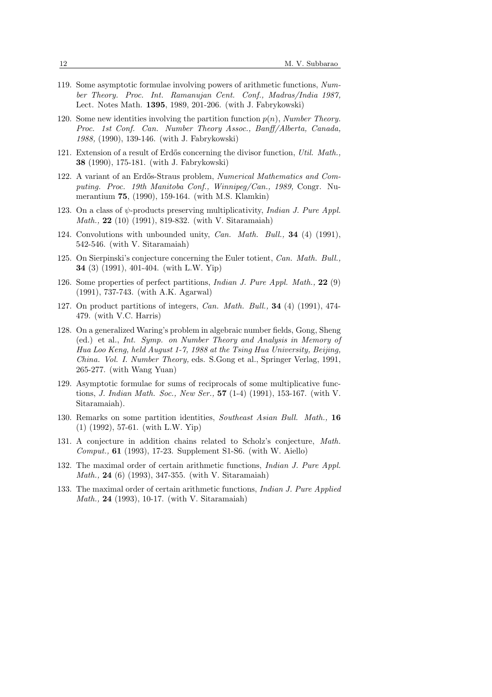- 119. Some asymptotic formulae involving powers of arithmetic functions, Number Theory. Proc. Int. Ramanujan Cent. Conf., Madras/India 1987, Lect. Notes Math. 1395, 1989, 201-206. (with J. Fabrykowski)
- 120. Some new identities involving the partition function  $p(n)$ , Number Theory. Proc. 1st Conf. Can. Number Theory Assoc., Banff/Alberta, Canada, 1988, (1990), 139-146. (with J. Fabrykowski)
- 121. Extension of a result of Erdős concerning the divisor function, Util. Math., 38 (1990), 175-181. (with J. Fabrykowski)
- 122. A variant of an Erdős-Straus problem, Numerical Mathematics and Computing. Proc. 19th Manitoba Conf., Winnipeg/Can., 1989, Congr. Numerantium 75, (1990), 159-164. (with M.S. Klamkin)
- 123. On a class of  $\psi$ -products preserving multiplicativity, Indian J. Pure Appl. Math., 22 (10) (1991), 819-832. (with V. Sitaramaiah)
- 124. Convolutions with unbounded unity, Can. Math. Bull., 34 (4) (1991), 542-546. (with V. Sitaramaiah)
- 125. On Sierpinski's conjecture concerning the Euler totient, Can. Math. Bull., 34 (3) (1991), 401-404. (with L.W. Yip)
- 126. Some properties of perfect partitions, Indian J. Pure Appl. Math., 22 (9) (1991), 737-743. (with A.K. Agarwal)
- 127. On product partitions of integers, Can. Math. Bull., 34 (4) (1991), 474- 479. (with V.C. Harris)
- 128. On a generalized Waring's problem in algebraic number fields, Gong, Sheng (ed.) et al., Int. Symp. on Number Theory and Analysis in Memory of Hua Loo Keng, held August 1-7, 1988 at the Tsing Hua University, Beijing, China. Vol. I. Number Theory, eds. S.Gong et al., Springer Verlag, 1991, 265-277. (with Wang Yuan)
- 129. Asymptotic formulae for sums of reciprocals of some multiplicative functions, J. Indian Math. Soc., New Ser., 57 (1-4) (1991), 153-167. (with V. Sitaramaiah).
- 130. Remarks on some partition identities, Southeast Asian Bull. Math., 16 (1) (1992), 57-61. (with L.W. Yip)
- 131. A conjecture in addition chains related to Scholz's conjecture, Math. Comput., 61 (1993), 17-23. Supplement S1-S6. (with W. Aiello)
- 132. The maximal order of certain arithmetic functions, Indian J. Pure Appl. Math., 24 (6) (1993), 347-355. (with V. Sitaramaiah)
- 133. The maximal order of certain arithmetic functions, Indian J. Pure Applied Math., 24 (1993), 10-17. (with V. Sitaramaiah)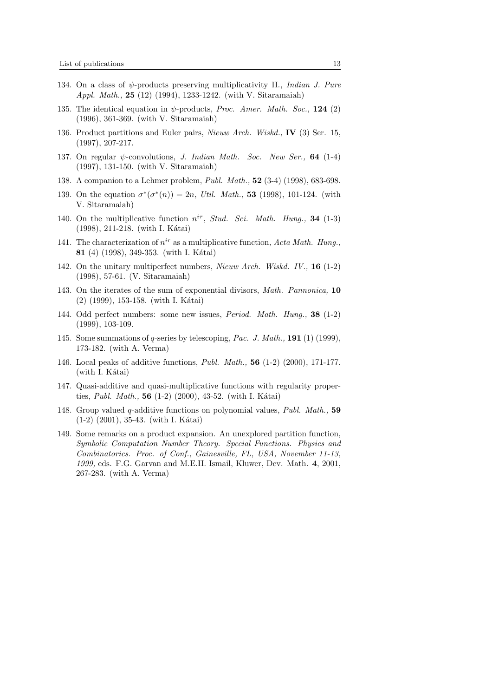- 134. On a class of  $\psi$ -products preserving multiplicativity II., *Indian J. Pure* Appl. Math., 25 (12) (1994), 1233-1242. (with V. Sitaramaiah)
- 135. The identical equation in  $\psi$ -products, *Proc. Amer. Math. Soc.*, **124** (2) (1996), 361-369. (with V. Sitaramaiah)
- 136. Product partitions and Euler pairs, Nieuw Arch. Wiskd., IV (3) Ser. 15, (1997), 207-217.
- 137. On regular  $\psi$ -convolutions, J. Indian Math. Soc. New Ser., 64 (1-4) (1997), 131-150. (with V. Sitaramaiah)
- 138. A companion to a Lehmer problem, Publ. Math., 52 (3-4) (1998), 683-698.
- 139. On the equation  $\sigma^*(\sigma^*(n)) = 2n$ , *Util. Math.*, **53** (1998), 101-124. (with V. Sitaramaiah)
- 140. On the multiplicative function  $n^{i\tau}$ , Stud. Sci. Math. Hung., 34 (1-3)  $(1998), 211-218.$  (with I. Kátai)
- 141. The characterization of  $n^{ir}$  as a multiplicative function, Acta Math. Hung., 81 (4) (1998), 349-353. (with I. Kátai)
- 142. On the unitary multiperfect numbers, Nieuw Arch. Wiskd. IV., 16 (1-2) (1998), 57-61. (V. Sitaramaiah)
- 143. On the iterates of the sum of exponential divisors, Math. Pannonica, 10  $(2)$  (1999), 153-158. (with I. Kátai)
- 144. Odd perfect numbers: some new issues, Period. Math. Hung., 38 (1-2) (1999), 103-109.
- 145. Some summations of q-series by telescoping, Pac. J. Math., 191 (1) (1999), 173-182. (with A. Verma)
- 146. Local peaks of additive functions, Publ. Math., 56 (1-2) (2000), 171-177.  $(with I. Kátai)$
- 147. Quasi-additive and quasi-multiplicative functions with regularity properties, Publ. Math.,  $56$  (1-2) (2000), 43-52. (with I. Kátai)
- 148. Group valued q-additive functions on polynomial values, Publ. Math., 59  $(1-2)$   $(2001)$ , 35-43. (with I. Kátai)
- 149. Some remarks on a product expansion. An unexplored partition function, Symbolic Computation Number Theory. Special Functions. Physics and Combinatorics. Proc. of Conf., Gainesville, FL, USA, November 11-13, 1999, eds. F.G. Garvan and M.E.H. Ismail, Kluwer, Dev. Math. 4, 2001, 267-283. (with A. Verma)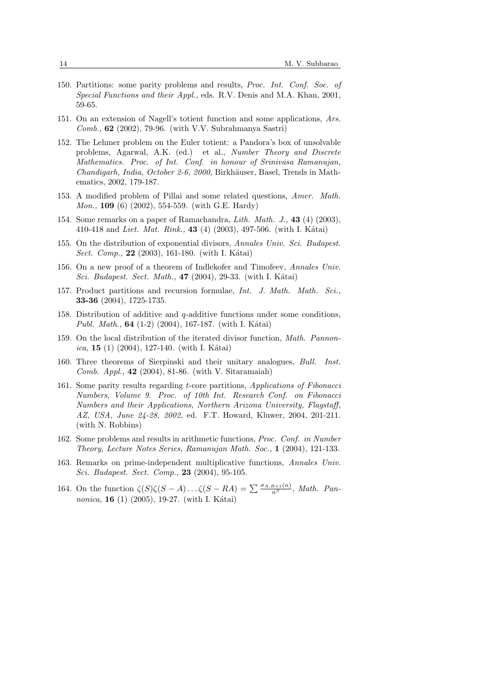- 150. Partitions: some parity problems and results, Proc. Int. Conf. Soc. of Special Functions and their Appl., eds. R.V. Denis and M.A. Khan, 2001, 59-65.
- 151. On an extension of Nagell's totient function and some applications, Ars. Comb.,  $62$  (2002), 79-96. (with V.V. Subrahmanya Sastri)
- 152. The Lehmer problem on the Euler totient: a Pandora's box of unsolvable problems, Agarwal, A.K. (ed.) et al., Number Theory and Discrete Mathematics. Proc. of Int. Conf. in honour of Srinivasa Ramanujan,  $Chandiarh, India, October 2-6, 2000, Birkhäuser, Basel, Trends in Math$ ematics, 2002, 179-187.
- 153. A modified problem of Pillai and some related questions, Amer. Math. *Mon.*, **109** (6) (2002), 554-559. (with G.E. Hardy)
- 154. Some remarks on a paper of Ramachandra, Lith. Math. J., 43 (4) (2003), 410-418 and Liet. Mat. Rink., 43 (4) (2003), 497-506. (with I. Kátai)
- 155. On the distribution of exponential divisors, Annales Univ. Sci. Budapest. *Sect. Comp.*, **22** (2003), 161-180. (with I. Kátai)
- 156. On a new proof of a theorem of Indlekofer and Timofeev, Annales Univ. Sci. Budapest. Sect. Math., 47 (2004), 29-33. (with I. Kátai)
- 157. Product partitions and recursion formulae, Int. J. Math. Math. Sci., 33-36 (2004), 1725-1735.
- 158. Distribution of additive and  $q$ -additive functions under some conditions, *Publ. Math.*, **64** (1-2) (2004), 167-187. (with I. Kátai)
- 159. On the local distribution of the iterated divisor function, Math. Pannon*ica*, **15** (1) (2004), 127-140. (with I. Kátai)
- 160. Three theorems of Sierpinski and their unitary analogues, Bull. Inst. *Comb. Appl.*,  $42$  (2004), 81-86. (with V. Sitaramaiah)
- 161. Some parity results regarding t-core partitions, Applications of Fibonacci Numbers, Volume 9. Proc. of 10th Int. Research Conf. on Fibonacci Numbers and their Applications, Northern Arizona University, Flagstaff, AZ, USA, June 24-28, 2002, ed. F.T. Howard, Kluwer, 2004, 201-211. (with N. Robbins)
- 162. Some problems and results in arithmetic functions, Proc. Conf. in Number Theory, Lecture Notes Series, Ramanujan Math. Soc., 1 (2004), 121-133.
- 163. Remarks on prime-independent multiplicative functions, Annales Univ. Sci. Budapest. Sect. Comp., 23 (2004), 95-105.
- 164. On the function  $\zeta(S)\zeta(S-A)\ldots\zeta(S-RA) = \sum_{n=1}^{\infty} \frac{\sigma_{A,R+1}(n)}{n^S}$ , Math. Pan*nonica*, **16** (1) (2005), 19-27. (with I. Kátai)